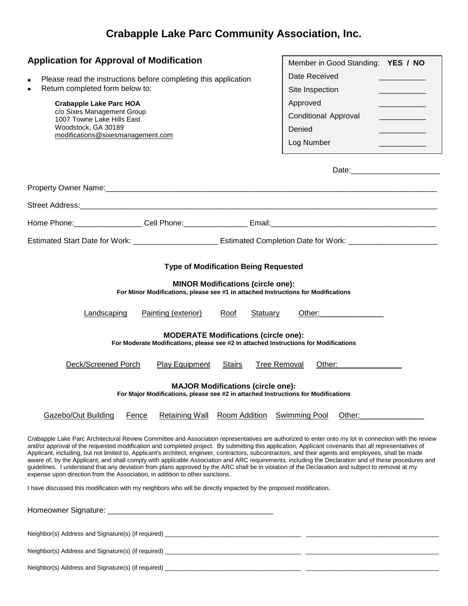## **Crabapple Lake Parc Community Association, Inc.**

| <b>Application for Approval of Modification</b><br>Please read the instructions before completing this application<br>$\bullet$<br>Return completed form below to:<br>$\bullet$<br><b>Crabapple Lake Parc HOA</b><br>c/o Sixes Management Group<br>1007 Towne Lake Hills East<br>Woodstock, GA 30189<br>modifications@sixesmanagement.com                                                                                                                                                                                                                                                                                                                                                                                                                                                                                                                                                                                                                                             | Member in Good Standing: YES / NO<br>Date Received<br>Site Inspection<br>Approved<br><b>Conditional Approval</b><br>Denied<br>Log Number                                                                                                                  |
|---------------------------------------------------------------------------------------------------------------------------------------------------------------------------------------------------------------------------------------------------------------------------------------------------------------------------------------------------------------------------------------------------------------------------------------------------------------------------------------------------------------------------------------------------------------------------------------------------------------------------------------------------------------------------------------------------------------------------------------------------------------------------------------------------------------------------------------------------------------------------------------------------------------------------------------------------------------------------------------|-----------------------------------------------------------------------------------------------------------------------------------------------------------------------------------------------------------------------------------------------------------|
|                                                                                                                                                                                                                                                                                                                                                                                                                                                                                                                                                                                                                                                                                                                                                                                                                                                                                                                                                                                       |                                                                                                                                                                                                                                                           |
|                                                                                                                                                                                                                                                                                                                                                                                                                                                                                                                                                                                                                                                                                                                                                                                                                                                                                                                                                                                       |                                                                                                                                                                                                                                                           |
|                                                                                                                                                                                                                                                                                                                                                                                                                                                                                                                                                                                                                                                                                                                                                                                                                                                                                                                                                                                       |                                                                                                                                                                                                                                                           |
|                                                                                                                                                                                                                                                                                                                                                                                                                                                                                                                                                                                                                                                                                                                                                                                                                                                                                                                                                                                       |                                                                                                                                                                                                                                                           |
|                                                                                                                                                                                                                                                                                                                                                                                                                                                                                                                                                                                                                                                                                                                                                                                                                                                                                                                                                                                       |                                                                                                                                                                                                                                                           |
| <b>Type of Modification Being Requested</b><br><b>MINOR Modifications (circle one):</b><br>For Minor Modifications, please see #1 in attached Instructions for Modifications<br>Painting (exterior)<br>Landscaping<br>Roof<br>Statuary<br><b>MODERATE Modifications (circle one):</b><br>For Moderate Modifications, please see #2 in attached Instructions for Modifications<br>Deck/Screened Porch<br><b>Play Equipment</b><br><b>Stairs</b><br><b>Tree Removal</b>                                                                                                                                                                                                                                                                                                                                                                                                                                                                                                                 | Other: ________________<br>Other: and the contract of the contract of the contract of the contract of the contract of the contract of the contract of the contract of the contract of the contract of the contract of the contract of the contract of the |
|                                                                                                                                                                                                                                                                                                                                                                                                                                                                                                                                                                                                                                                                                                                                                                                                                                                                                                                                                                                       |                                                                                                                                                                                                                                                           |
| <b>MAJOR Modifications (circle one):</b><br>For Major Modifications, please see #2 in attached Instructions for Modifications                                                                                                                                                                                                                                                                                                                                                                                                                                                                                                                                                                                                                                                                                                                                                                                                                                                         |                                                                                                                                                                                                                                                           |
| Gazebo/Out Building<br>Room Addition<br>Fence<br><b>Retaining Wall</b>                                                                                                                                                                                                                                                                                                                                                                                                                                                                                                                                                                                                                                                                                                                                                                                                                                                                                                                | <b>Swimming Pool</b><br>Other:                                                                                                                                                                                                                            |
| Crabapple Lake Parc Architectural Review Committee and Association representatives are authorized to enter onto my lot in connection with the review<br>and/or approval of the requested modification and completed project. By submitting this application, Applicant covenants that all representatives of<br>Applicant, including, but not limited to, Applicant's architect, engineer, contractors, subcontractors, and their agents and employees, shall be made<br>aware of, by the Applicant, and shall comply with applicable Association and ARC requirements, including the Declaration and of these procedures and<br>guidelines. I understand that any deviation from plans approved by the ARC shall be in violation of the Declaration and subject to removal at my<br>expense upon direction from the Association, in addition to other sanctions.<br>I have discussed this modification with my neighbors who will be directly impacted by the proposed modification. |                                                                                                                                                                                                                                                           |
|                                                                                                                                                                                                                                                                                                                                                                                                                                                                                                                                                                                                                                                                                                                                                                                                                                                                                                                                                                                       |                                                                                                                                                                                                                                                           |
| Neighbor(s) Address and Signature(s) (if required) _____________________________                                                                                                                                                                                                                                                                                                                                                                                                                                                                                                                                                                                                                                                                                                                                                                                                                                                                                                      |                                                                                                                                                                                                                                                           |

Neighbor(s) Address and Signature(s) (if required) \_\_\_\_\_\_\_\_\_\_\_\_\_\_\_\_\_\_\_\_\_\_\_\_\_\_\_\_\_\_\_\_\_\_\_\_\_\_\_\_ \_\_\_\_\_\_\_\_\_\_\_\_\_\_\_\_\_\_\_\_\_\_\_\_\_\_\_\_\_\_\_\_\_\_\_\_\_\_\_

Neighbor(s) Address and Signature(s) (if required) \_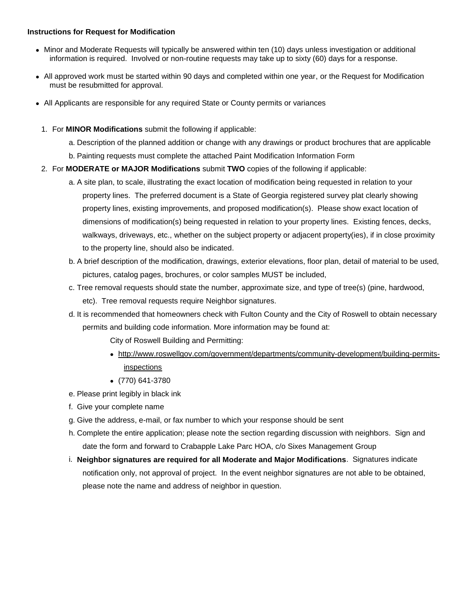## **Instructions for Request for Modification**

- Minor and Moderate Requests will typically be answered within ten (10) days unless investigation or additional information is required. Involved or non-routine requests may take up to sixty (60) days for a response.
- All approved work must be started within 90 days and completed within one year, or the Request for Modification must be resubmitted for approval.
- All Applicants are responsible for any required State or County permits or variances
	- 1. For **MINOR Modifications** submit the following if applicable:
		- a. Description of the planned addition or change with any drawings or product brochures that are applicable
		- b. Painting requests must complete the attached Paint Modification Information Form
	- 2. For **MODERATE or MAJOR Modifications** submit **TWO** copies of the following if applicable:
		- a. A site plan, to scale, illustrating the exact location of modification being requested in relation to your property lines. The preferred document is a State of Georgia registered survey plat clearly showing property lines, existing improvements, and proposed modification(s). Please show exact location of dimensions of modification(s) being requested in relation to your property lines. Existing fences, decks, walkways, driveways, etc., whether on the subject property or adjacent property(ies), if in close proximity to the property line, should also be indicated.
		- b. A brief description of the modification, drawings, exterior elevations, floor plan, detail of material to be used, pictures, catalog pages, brochures, or color samples MUST be included,
		- c. Tree removal requests should state the number, approximate size, and type of tree(s) (pine, hardwood, etc). Tree removal requests require Neighbor signatures.
		- d. It is recommended that homeowners check with Fulton County and the City of Roswell to obtain necessary permits and building code information. More information may be found at:
			- City of Roswell Building and Permitting:
			- http://www.roswellgov.com/government/departments/community-development/building-permitsinspections
			- (770) 641-3780
		- e. Please print legibly in black ink
		- f. Give your complete name
		- g. Give the address, e-mail, or fax number to which your response should be sent
		- h. Complete the entire application; please note the section regarding discussion with neighbors. Sign and date the form and forward to Crabapple Lake Parc HOA, c/o Sixes Management Group
		- i. **Neighbor signatures are required for all Moderate and Major Modifications**. Signatures indicate notification only, not approval of project. In the event neighbor signatures are not able to be obtained, please note the name and address of neighbor in question.